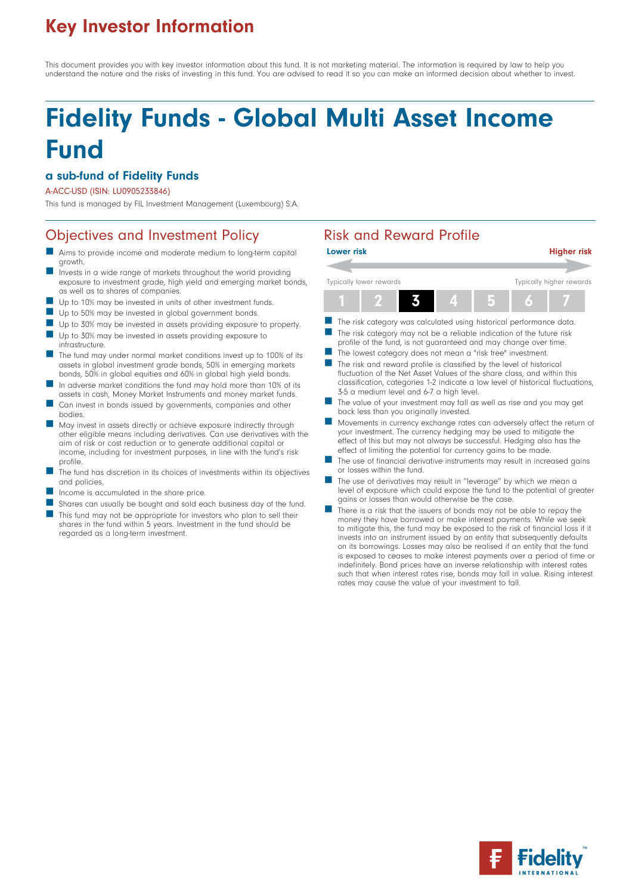## Key Investor Information

This document provides you with key investor information about this fund. It is not marketing material. The information is required by law to help you understand the nature and the risks of investing in this fund. You are advised to read it so you can make an informed decision about whether to invest.

# Fidelity Funds - Global Multi Asset Income Fund

#### a sub-fund of Fidelity Funds

#### A-ACC-USD (ISIN: LU0905233846)

This fund is managed by FIL Investment Management (Luxembourg) S.A.

### Objectives and Investment Policy **Risk and Reward Profile**

- Aims to provide income and moderate medium to long-term capital growth.
- Invests in a wide range of markets throughout the world providing exposure to investment grade, high yield and emerging market bonds, as well as to shares of companies.
- Up to 10% may be invested in units of other investment funds.
- Up to 50% may be invested in global government bonds.
- Up to 30% may be invested in assets providing exposure to property.
- **n** Up to 30% may be invested in assets providing exposure to infrastructure.
- The fund may under normal market conditions invest up to 100% of its assets in global investment grade bonds, 50% in emerging markets bonds, 50% in global equities and 60% in global high yield bonds.
- In adverse market conditions the fund may hold more than 10% of its assets in cash, Money Market Instruments and money market funds.
- Can invest in bonds issued by governments, companies and other bodies.
- n May invest in assets directly or achieve exposure indirectly through other eligible means including derivatives. Can use derivatives with the aim of risk or cost reduction or to generate additional capital or income, including for investment purposes, in line with the fund's risk profile.
- The fund has discretion in its choices of investments within its objectives and policies.
- Income is accumulated in the share price.
- Shares can usually be bought and sold each business day of the fund.
- This fund may not be appropriate for investors who plan to sell their shares in the fund within 5 years. Investment in the fund should be regarded as a long-term investment.



- The risk category may not be a reliable indication of the future risk profile of the fund, is not guaranteed and may change over time.
- The lowest category does not mean a "risk free" investment.
- The risk and reward profile is classified by the level of historical fluctuation of the Net Asset Values of the share class, and within this classification, categories 1-2 indicate a low level of historical fluctuations, 3-5 a medium level and 6-7 a high level.
- The value of your investment may fall as well as rise and you may get back less than you originally invested.
- n Movements in currency exchange rates can adversely affect the return of your investment. The currency hedging may be used to mitigate the effect of this but may not always be successful. Hedging also has the effect of limiting the potential for currency gains to be made.
- The use of financial derivative instruments may result in increased gains or losses within the fund.
- The use of derivatives may result in "leverage" by which we mean a level of exposure which could expose the fund to the potential of greater gains or losses than would otherwise be the case.
- There is a risk that the issuers of bonds may not be able to repay the money they have borrowed or make interest payments. While we seek to mitigate this, the fund may be exposed to the risk of financial loss if it invests into an instrument issued by an entity that subsequently defaults on its borrowings. Losses may also be realised if an entity that the fund is exposed to ceases to make interest payments over a period of time or indefinitely. Bond prices have an inverse relationship with interest rates such that when interest rates rise, bonds may fall in value. Rising interest rates may cause the value of your investment to fall.